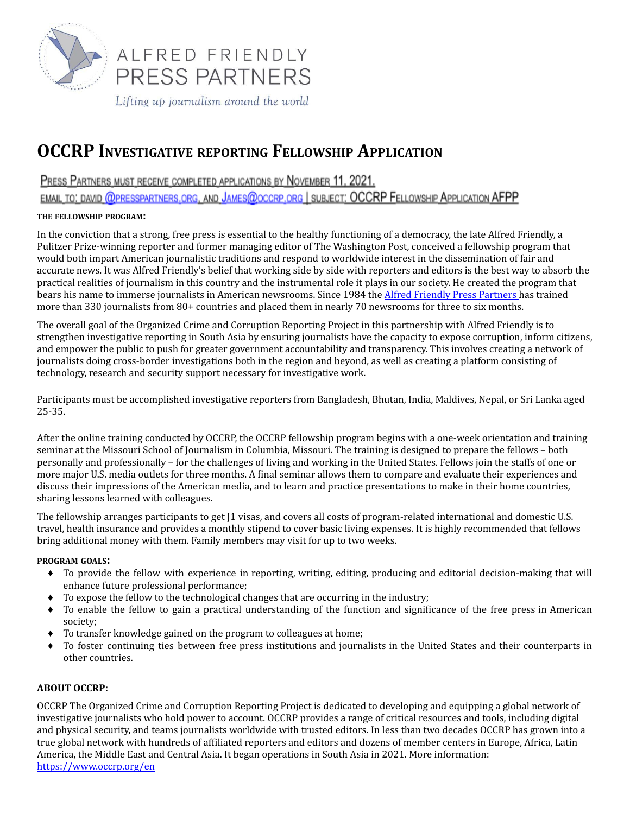

# **OCCRP INVESTIGATIVE REPORTING FELLOWSHIP APPLICATION**

PRESS PARTNERS MUST RECEIVE COMPLETED APPLICATIONS BY NOVEMBER 11, 2021.

EMAIL TO: DAVID @PRESSPARTNERS.ORG, AND JAMES@OCCRP.ORG | SUBJECT: OCCRP FELLOWSHIP APPLICATION AFPP

#### **THE FELLOWSHIP PROGRAM:**

In the conviction that a strong, free press is essential to the healthy functioning of a democracy, the late Alfred Friendly, a Pulitzer Prize-winning reporter and former managing editor of The Washington Post, conceived a fellowship program that would both impart American journalistic traditions and respond to worldwide interest in the dissemination of fair and accurate news. It was Alfred Friendly's belief that working side by side with reporters and editors is the best way to absorb the practical realities of journalism in this country and the instrumental role it plays in our society. He created the program that bears his name to immerse journalists in American newsrooms. Since 1984 the Alfred Friendly Press [Partners](http://www.presspartners.org/) has trained more than 330 journalists from 80+ countries and placed them in nearly 70 newsrooms for three to six months.

The overall goal of the Organized Crime and Corruption Reporting Project in this partnership with Alfred Friendly is to strengthen investigative reporting in South Asia by ensuring journalists have the capacity to expose corruption, inform citizens, and empower the public to push for greater government accountability and transparency. This involves creating a network of journalists doing cross-border investigations both in the region and beyond, as well as creating a platform consisting of technology, research and security support necessary for investigative work.

Participants must be accomplished investigative reporters from Bangladesh, Bhutan, India, Maldives, Nepal, or Sri Lanka aged 25-35.

After the online training conducted by OCCRP, the OCCRP fellowship program begins with a one-week orientation and training seminar at the Missouri School of Journalism in Columbia, Missouri. The training is designed to prepare the fellows – both personally and professionally – for the challenges of living and working in the United States. Fellows join the staffs of one or more major U.S. media outlets for three months. A final seminar allows them to compare and evaluate their experiences and discuss their impressions of the American media, and to learn and practice presentations to make in their home countries, sharing lessons learned with colleagues.

The fellowship arranges participants to get [1 visas, and covers all costs of program-related international and domestic U.S. travel, health insurance and provides a monthly stipend to cover basic living expenses. It is highly recommended that fellows bring additional money with them. Family members may visit for up to two weeks.

#### **PROGRAM GOALS:**

- ♦ To provide the fellow with experience in reporting, writing, editing, producing and editorial decision-making that will enhance future professional performance;
- $\bullet$  To expose the fellow to the technological changes that are occurring in the industry;
- ♦ To enable the fellow to gain a practical understanding of the function and significance of the free press in American society;
- ♦ To transfer knowledge gained on the program to colleagues at home;
- ♦ To foster continuing ties between free press institutions and journalists in the United States and their counterparts in other countries.

### **ABOUT OCCRP:**

OCCRP The Organized Crime and Corruption Reporting Project is dedicated to developing and equipping a global network of investigative journalists who hold power to account. OCCRP provides a range of critical resources and tools, including digital and physical security, and teams journalists worldwide with trusted editors. In less than two decades OCCRP has grown into a true global network with hundreds of affiliated reporters and editors and dozens of member centers in Europe, Africa, Latin America, the Middle East and Central Asia. It began operations in South Asia in 2021. More information: <https://www.occrp.org/en>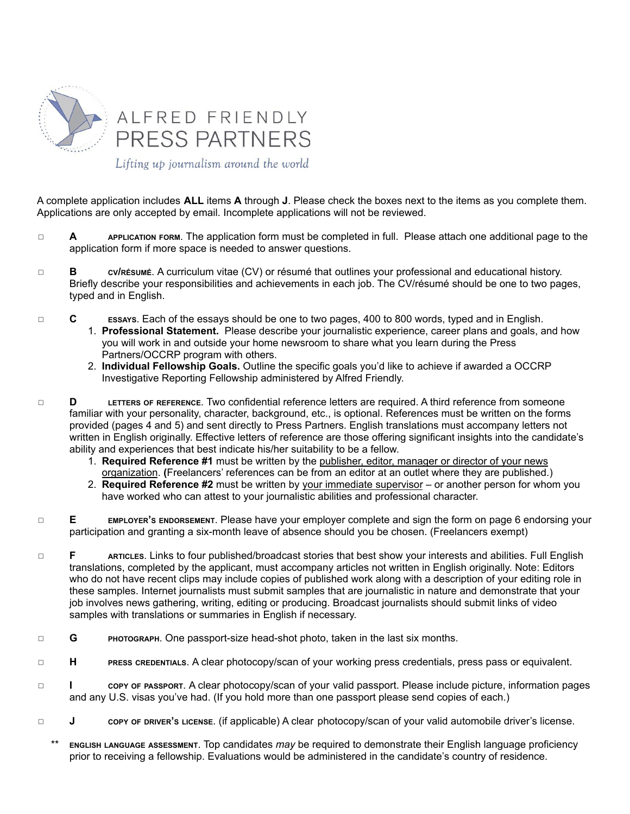

A complete application includes **ALL** items **A** through **J**. Please check the boxes next to the items as you complete them. Applications are only accepted by email. Incomplete applications will not be reviewed.

- ◻ **A APPLICATION FORM**. The application form must be completed in full. Please attach one additional page to the application form if more space is needed to answer questions.
- ◻ **B CV/RÉSUMÉ**. A curriculum vitae (CV) or résumé that outlines your professional and educational history. Briefly describe your responsibilities and achievements in each job. The CV/résumé should be one to two pages, typed and in English.
- ◻ **C ESSAYS**. Each of the essays should be one to two pages, 400 to 800 words, typed and in English.
	- 1. **Professional Statement.** Please describe your journalistic experience, career plans and goals, and how you will work in and outside your home newsroom to share what you learn during the Press Partners/OCCRP program with others.
	- 2. **Individual Fellowship Goals.** Outline the specific goals you'd like to achieve if awarded a OCCRP Investigative Reporting Fellowship administered by Alfred Friendly.
- ◻ **D LETTERS OF REFERENCE**. Two confidential reference letters are required. A third reference from someone familiar with your personality, character, background, etc., is optional. References must be written on the forms provided (pages 4 and 5) and sent directly to Press Partners. English translations must accompany letters not written in English originally. Effective letters of reference are those offering significant insights into the candidate's ability and experiences that best indicate his/her suitability to be a fellow.
	- 1. **Required Reference #1** must be written by the publisher, editor, manager or director of your news organization. **(**Freelancers' references can be from an editor at an outlet where they are published.)
	- 2. **Required Reference #2** must be written by your immediate supervisor or another person for whom you have worked who can attest to your journalistic abilities and professional character.
- ◻ **E EMPLOYER'<sup>S</sup> ENDORSEMENT**. Please have your employer complete and sign the form on page 6 endorsing your participation and granting a six-month leave of absence should you be chosen. (Freelancers exempt)
- ◻ **F ARTICLES**. Links to four published/broadcast stories that best show your interests and abilities. Full English translations, completed by the applicant, must accompany articles not written in English originally. Note: Editors who do not have recent clips may include copies of published work along with a description of your editing role in these samples. Internet journalists must submit samples that are journalistic in nature and demonstrate that your job involves news gathering, writing, editing or producing. Broadcast journalists should submit links of video samples with translations or summaries in English if necessary.
- ◻ **G PHOTOGRAPH**. One passport-size head-shot photo, taken in the last six months.
- ◻ **H PRESS CREDENTIALS**. A clear photocopy/scan of your working press credentials, press pass or equivalent.
- ◻ **I COPY OF PASSPORT**. A clear photocopy/scan of your valid passport. Please include picture, information pages and any U.S. visas you've had. (If you hold more than one passport please send copies of each.)
- ◻ **J COPY OF DRIVER'<sup>S</sup> LICENSE**. (if applicable) A clear photocopy/scan of your valid automobile driver's license.
	- \*\* **ENGLISH LANGUAGE ASSESSMENT**. Top candidates *may* be required to demonstrate their English language proficiency prior to receiving a fellowship. Evaluations would be administered in the candidate's country of residence.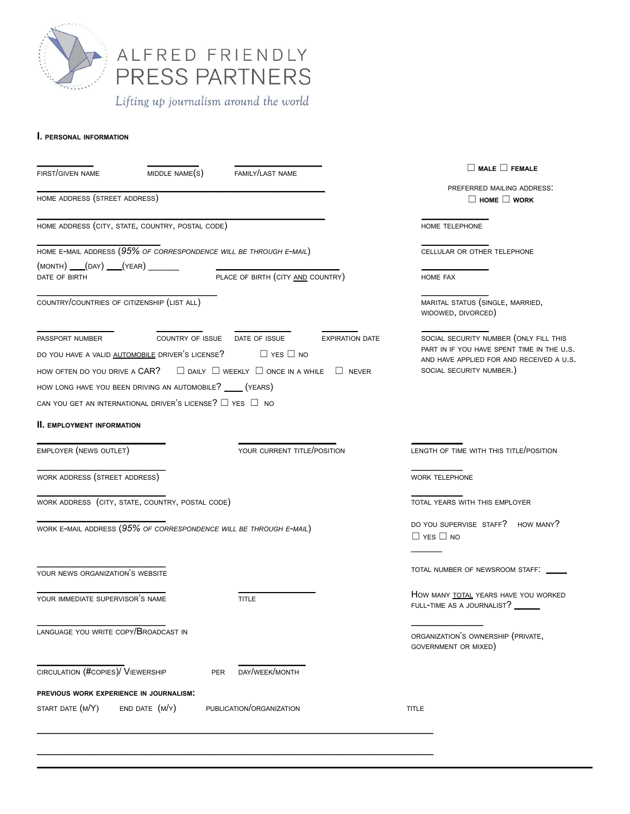

ALFRED FRIENDLY<br>PRESS PARTNERS

Lifting up journalism around the world

#### **I. PERSONAL INFORMATION**

| FIRST/GIVEN NAME                                                                                                                                                                                                                     | MIDDLE NAME(S)     | FAMILY/LAST NAME                                                                                                                           | $\Box$ MALE $\Box$ FEMALE                                                                                                                                                              |
|--------------------------------------------------------------------------------------------------------------------------------------------------------------------------------------------------------------------------------------|--------------------|--------------------------------------------------------------------------------------------------------------------------------------------|----------------------------------------------------------------------------------------------------------------------------------------------------------------------------------------|
| HOME ADDRESS (STREET ADDRESS)                                                                                                                                                                                                        |                    |                                                                                                                                            | PREFERRED MAILING ADDRESS.<br>$\Box$ HOME $\Box$ WORK                                                                                                                                  |
| HOME ADDRESS (CITY, STATE, COUNTRY, POSTAL CODE)                                                                                                                                                                                     |                    |                                                                                                                                            | HOME TELEPHONE                                                                                                                                                                         |
| HOME E-MAIL ADDRESS (95% OF CORRESPONDENCE WILL BE THROUGH E-MAIL)                                                                                                                                                                   |                    |                                                                                                                                            | CELLULAR OR OTHER TELEPHONE                                                                                                                                                            |
| $(MONTH)$ $(nAY)$ $(NEAR)$<br>DATE OF BIRTH                                                                                                                                                                                          |                    | PLACE OF BIRTH (CITY AND COUNTRY)                                                                                                          | HOME FAX                                                                                                                                                                               |
| COUNTRY/COUNTRIES OF CITIZENSHIP (LIST ALL)                                                                                                                                                                                          |                    |                                                                                                                                            | MARITAL STATUS (SINGLE, MARRIED,<br>WIDOWED, DIVORCED)                                                                                                                                 |
| PASSPORT NUMBER<br>DO YOU HAVE A VALID AUTOMOBILE DRIVER'S LICENSE? $\Box$ YES $\Box$ NO<br>HOW LONG HAVE YOU BEEN DRIVING AN AUTOMOBILE? _____ (YEARS)<br>CAN YOU GET AN INTERNATIONAL DRIVER'S LICENSE? $\square$ YES $\square$ NO |                    | COUNTRY OF ISSUE DATE OF ISSUE<br>HOW OFTEN DO YOU DRIVE A CAR? $\square$ DAILY $\square$ WEEKLY $\square$ ONCE IN A WHILE $\square$ NEVER | SOCIAL SECURITY NUMBER (ONLY FILL THIS<br><b>EXPIRATION DATE</b><br>PART IN IF YOU HAVE SPENT TIME IN THE U.S.<br>AND HAVE APPLIED FOR AND RECEIVED A U.S.<br>SOCIAL SECURITY NUMBER.) |
| <b>II. EMPLOYMENT INFORMATION</b>                                                                                                                                                                                                    |                    |                                                                                                                                            |                                                                                                                                                                                        |
| EMPLOYER (NEWS OUTLET)                                                                                                                                                                                                               |                    | YOUR CURRENT TITLE/POSITION                                                                                                                | LENGTH OF TIME WITH THIS TITLE/POSITION                                                                                                                                                |
| WORK ADDRESS (STREET ADDRESS)                                                                                                                                                                                                        |                    |                                                                                                                                            | <b>WORK TELEPHONE</b>                                                                                                                                                                  |
| WORK ADDRESS (CITY, STATE, COUNTRY, POSTAL CODE)                                                                                                                                                                                     |                    |                                                                                                                                            | TOTAL YEARS WITH THIS EMPLOYER                                                                                                                                                         |
| WORK E-MAIL ADDRESS (95% OF CORRESPONDENCE WILL BE THROUGH E-MAIL)                                                                                                                                                                   |                    |                                                                                                                                            | DO YOU SUPERVISE STAFF? HOW MANY?<br>$\Box$ YES $\Box$ NO                                                                                                                              |
| YOUR NEWS ORGANIZATION'S WEBSITE                                                                                                                                                                                                     |                    |                                                                                                                                            | TOTAL NUMBER OF NEWSROOM STAFF: __                                                                                                                                                     |
| YOUR IMMEDIATE SUPERVISOR'S NAME                                                                                                                                                                                                     |                    | <b>TITLE</b>                                                                                                                               | HOW MANY TOTAL YEARS HAVE YOU WORKED<br>FULL-TIME AS A JOURNALIST?                                                                                                                     |
| LANGUAGE YOU WRITE COPY/BROADCAST IN                                                                                                                                                                                                 |                    |                                                                                                                                            | ORGANIZATION'S OWNERSHIP (PRIVATE,<br>GOVERNMENT OR MIXED)                                                                                                                             |
| CIRCULATION (#COPIES)/ VIEWERSHIP                                                                                                                                                                                                    | <b>PER</b>         | DAY/WEEK/MONTH                                                                                                                             |                                                                                                                                                                                        |
| PREVIOUS WORK EXPERIENCE IN JOURNALISM.                                                                                                                                                                                              |                    |                                                                                                                                            |                                                                                                                                                                                        |
| START DATE (M/Y)                                                                                                                                                                                                                     | $END$ DATE $(M/Y)$ | PUBLICATION/ORGANIZATION                                                                                                                   | <b>TITLE</b>                                                                                                                                                                           |
|                                                                                                                                                                                                                                      |                    |                                                                                                                                            |                                                                                                                                                                                        |

**\_\_\_\_\_\_\_\_\_\_\_\_\_\_\_\_\_\_\_\_\_\_\_\_\_\_\_\_\_\_\_\_\_\_\_\_\_\_\_\_\_\_\_\_\_\_\_\_\_\_\_\_\_\_\_\_\_\_\_\_\_\_\_\_\_\_\_\_\_\_\_\_\_\_\_\_\_**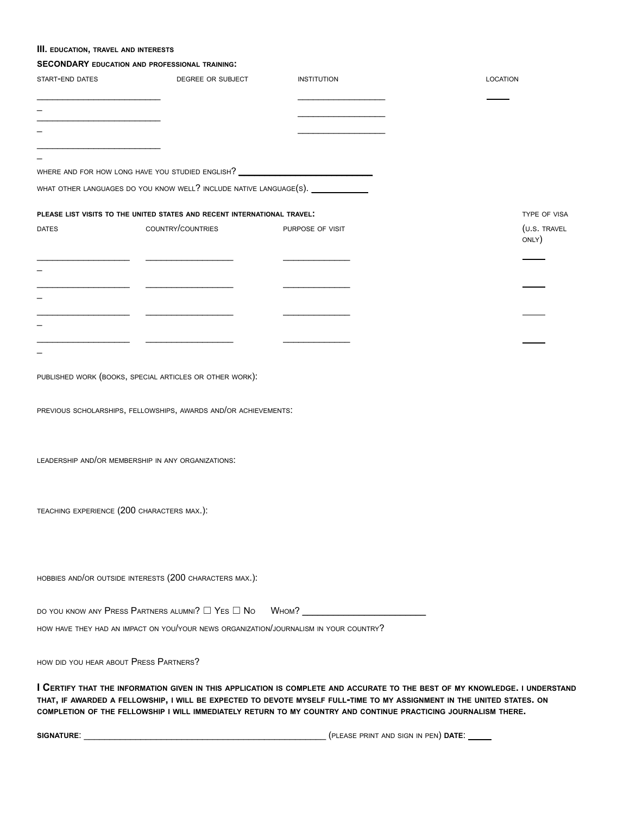#### **III. EDUCATION, TRAVEL AND INTERESTS**

## **SECONDARY EDUCATION AND PROFESSIONAL TRAINING:**

| START-END DATES                            | DEGREE OR SUBJECT                                                                     | <b>INSTITUTION</b>                                                                                                                                                                                                                                                                                                                                                      | <b>LOCATION</b>       |
|--------------------------------------------|---------------------------------------------------------------------------------------|-------------------------------------------------------------------------------------------------------------------------------------------------------------------------------------------------------------------------------------------------------------------------------------------------------------------------------------------------------------------------|-----------------------|
|                                            |                                                                                       |                                                                                                                                                                                                                                                                                                                                                                         |                       |
|                                            |                                                                                       |                                                                                                                                                                                                                                                                                                                                                                         |                       |
|                                            |                                                                                       |                                                                                                                                                                                                                                                                                                                                                                         |                       |
|                                            |                                                                                       |                                                                                                                                                                                                                                                                                                                                                                         |                       |
|                                            | WHERE AND FOR HOW LONG HAVE YOU STUDIED ENGLISH?                                      |                                                                                                                                                                                                                                                                                                                                                                         |                       |
|                                            | WHAT OTHER LANGUAGES DO YOU KNOW WELL? INCLUDE NATIVE LANGUAGE(S).                    |                                                                                                                                                                                                                                                                                                                                                                         |                       |
|                                            | PLEASE LIST VISITS TO THE UNITED STATES AND RECENT INTERNATIONAL TRAVEL!              |                                                                                                                                                                                                                                                                                                                                                                         | TYPE OF VISA          |
| <b>DATES</b>                               | COUNTRY/COUNTRIES                                                                     | PURPOSE OF VISIT                                                                                                                                                                                                                                                                                                                                                        | (U.S. TRAVEL<br>ONLY) |
|                                            |                                                                                       |                                                                                                                                                                                                                                                                                                                                                                         |                       |
|                                            |                                                                                       |                                                                                                                                                                                                                                                                                                                                                                         |                       |
|                                            |                                                                                       |                                                                                                                                                                                                                                                                                                                                                                         |                       |
|                                            |                                                                                       |                                                                                                                                                                                                                                                                                                                                                                         |                       |
|                                            | PUBLISHED WORK (BOOKS, SPECIAL ARTICLES OR OTHER WORK):                               |                                                                                                                                                                                                                                                                                                                                                                         |                       |
|                                            | PREVIOUS SCHOLARSHIPS, FELLOWSHIPS, AWARDS AND/OR ACHIEVEMENTS.                       |                                                                                                                                                                                                                                                                                                                                                                         |                       |
|                                            | LEADERSHIP AND/OR MEMBERSHIP IN ANY ORGANIZATIONS.                                    |                                                                                                                                                                                                                                                                                                                                                                         |                       |
| TEACHING EXPERIENCE (200 CHARACTERS MAX.): |                                                                                       |                                                                                                                                                                                                                                                                                                                                                                         |                       |
|                                            | HOBBIES AND/OR OUTSIDE INTERESTS (200 CHARACTERS MAX.):                               |                                                                                                                                                                                                                                                                                                                                                                         |                       |
|                                            | DO YOU KNOW ANY PRESS PARTNERS ALUMNI? $\Box$ Yes $\Box$ No                           | Wном?                                                                                                                                                                                                                                                                                                                                                                   |                       |
|                                            | HOW HAVE THEY HAD AN IMPACT ON YOU/YOUR NEWS ORGANIZATION/JOURNALISM IN YOUR COUNTRY? |                                                                                                                                                                                                                                                                                                                                                                         |                       |
| HOW DID YOU HEAR ABOUT PRESS PARTNERS?     |                                                                                       |                                                                                                                                                                                                                                                                                                                                                                         |                       |
|                                            |                                                                                       | I CERTIFY THAT THE INFORMATION GIVEN IN THIS APPLICATION IS COMPLETE AND ACCURATE TO THE BEST OF MY KNOWLEDGE. I UNDERSTAND<br>THAT, IF AWARDED A FELLOWSHIP, I WILL BE EXPECTED TO DEVOTE MYSELF FULL-TIME TO MY ASSIGNMENT IN THE UNITED STATES. ON<br>COMPLETION OF THE FELLOWSHIP I WILL IMMEDIATELY RETURN TO MY COUNTRY AND CONTINUE PRACTICING JOURNALISM THERE. |                       |

**SIGNATURE**: \_\_\_\_\_\_\_\_\_\_\_\_\_\_\_\_\_\_\_\_\_\_\_\_\_\_\_\_\_\_\_\_\_\_\_\_\_\_\_\_\_\_\_\_\_\_\_ (PLEASE PRINT AND SIGN IN PEN) **DATE**: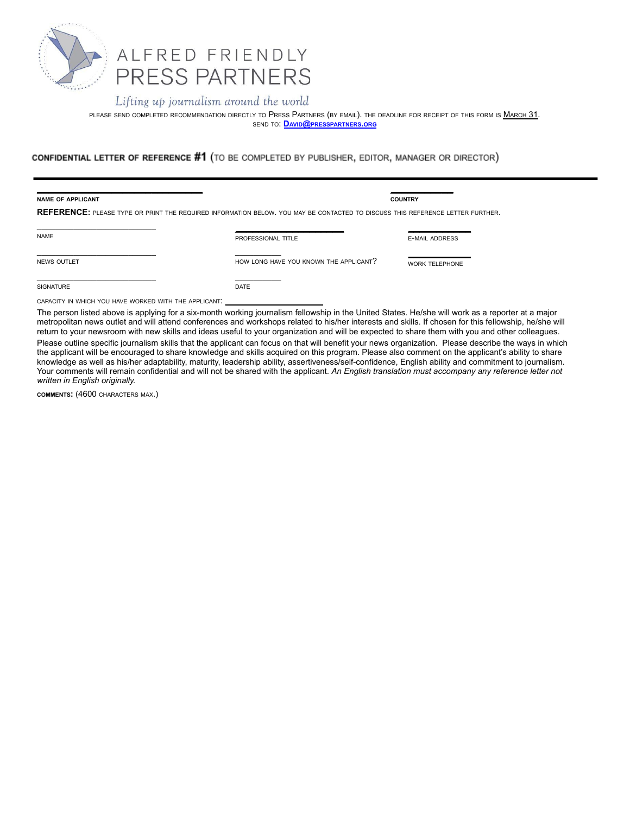

PLEASE SEND COMPLETED RECOMMENDATION DIRECTLY TO PRESS PARTNERS (BY EMAIL). THE DEADLINE FOR RECEIPT OF THIS FORM IS MARCH 31. SEND TO: **DAVID@[PRESSPARTNERS](mailto:info@presspartners.org).ORG**

CONFIDENTIAL LETTER OF REFERENCE #1 (TO BE COMPLETED BY PUBLISHER, EDITOR, MANAGER OR DIRECTOR)

| <b>NAME OF APPLICANT</b> |                                                                                                                                | <b>COUNTRY</b>        |  |  |
|--------------------------|--------------------------------------------------------------------------------------------------------------------------------|-----------------------|--|--|
|                          | REFERENCE: PLEASE TYPE OR PRINT THE REQUIRED INFORMATION BELOW. YOU MAY BE CONTACTED TO DISCUSS THIS REFERENCE LETTER FURTHER. |                       |  |  |
| <b>NAME</b>              | PROFESSIONAL TITLE                                                                                                             | <b>E-MAIL ADDRESS</b> |  |  |
| <b>NEWS OUTLET</b>       | HOW LONG HAVE YOU KNOWN THE APPLICANT?                                                                                         | <b>WORK TELEPHONE</b> |  |  |
| <b>SIGNATURE</b>         | <b>DATE</b>                                                                                                                    |                       |  |  |

The person listed above is applying for a six-month working journalism fellowship in the United States. He/she will work as a reporter at a major metropolitan news outlet and will attend conferences and workshops related to his/her interests and skills. If chosen for this fellowship, he/she will return to your newsroom with new skills and ideas useful to your organization and will be expected to share them with you and other colleagues. Please outline specific journalism skills that the applicant can focus on that will benefit your news organization. Please describe the ways in which the applicant will be encouraged to share knowledge and skills acquired on this program. Please also comment on the applicant's ability to share knowledge as well as his/her adaptability, maturity, leadership ability, assertiveness/self-confidence, English ability and commitment to journalism. Your comments will remain confidential and will not be shared with the applicant. *An English translation must accompany any reference letter not written in English originally.*

**COMMENTS:** (4600 CHARACTERS MAX.)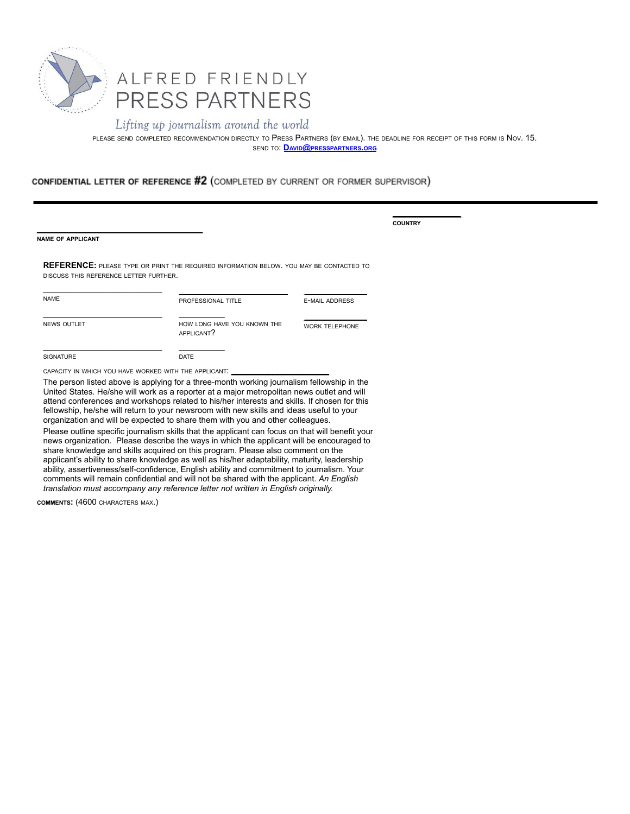

PLEASE SEND COMPLETED RECOMMENDATION DIRECTLY TO PRESS PARTNERS (BY EMAIL). THE DEADLINE FOR RECEIPT OF THIS FORM IS NOV. 15. SEND TO: **DAVID@[PRESSPARTNERS](mailto:info@presspartners.org).ORG**

**\_\_\_\_\_\_\_\_\_\_\_\_**

**COUNTRY**

### CONFIDENTIAL LETTER OF REFERENCE #2 (COMPLETED BY CURRENT OR FORMER SUPERVISOR)

**NAME OF APPLICANT**

**REFERENCE:** PLEASE TYPE OR PRINT THE REQUIRED INFORMATION BELOW. YOU MAY BE CONTACTED TO DISCUSS THIS REFERENCE LETTER FURTHER.

| <b>NAME</b>        | PROFESSIONAL TITLE                        | <b>E-MAIL ADDRESS</b> |
|--------------------|-------------------------------------------|-----------------------|
| <b>NEWS OUTLET</b> | HOW LONG HAVE YOU KNOWN THE<br>APPLICANT? | <b>WORK TELEPHONE</b> |
| <b>SIGNATURE</b>   | <b>DATE</b>                               |                       |

CAPACITY IN WHICH YOU HAVE WORKED WITH THE APPLICANT.

**\_\_\_\_\_\_\_\_\_\_\_\_\_\_\_\_\_\_\_\_\_\_\_\_\_\_\_\_\_**

The person listed above is applying for a three-month working journalism fellowship in the United States. He/she will work as a reporter at a major metropolitan news outlet and will attend conferences and workshops related to his/her interests and skills. If chosen for this fellowship, he/she will return to your newsroom with new skills and ideas useful to your organization and will be expected to share them with you and other colleagues.

Please outline specific journalism skills that the applicant can focus on that will benefit your news organization. Please describe the ways in which the applicant will be encouraged to share knowledge and skills acquired on this program. Please also comment on the applicant's ability to share knowledge as well as his/her adaptability, maturity, leadership ability, assertiveness/self-confidence, English ability and commitment to journalism. Your comments will remain confidential and will not be shared with the applicant. *An English translation must accompany any reference letter not written in English originally.*

**COMMENTS:** (4600 CHARACTERS MAX.)